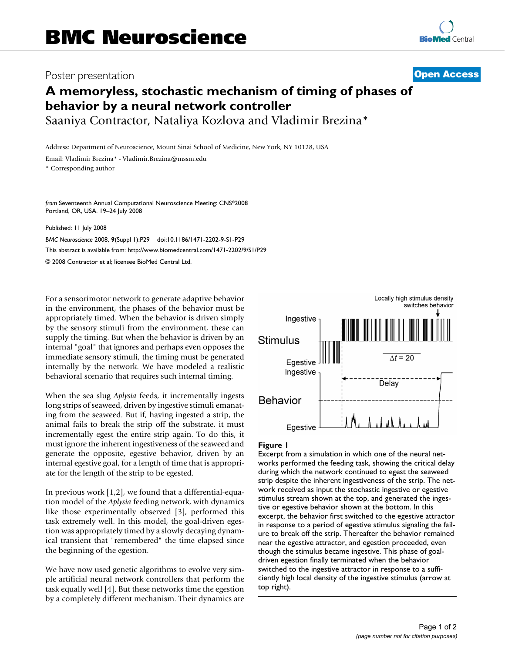## Poster presentation **Contract Contract Contract Contract Contract Contract Contract Contract Contract Contract Contract Contract Contract Contract Contract Contract Contract Contract Contract Contract Contract Contract Con**

# **A memoryless, stochastic mechanism of timing of phases of behavior by a neural network controller**

Saaniya Contractor, Nataliya Kozlova and Vladimir Brezina\*

Address: Department of Neuroscience, Mount Sinai School of Medicine, New York, NY 10128, USA

Email: Vladimir Brezina\* - Vladimir.Brezina@mssm.edu

\* Corresponding author

*from* Seventeenth Annual Computational Neuroscience Meeting: CNS\*2008 Portland, OR, USA. 19–24 July 2008

Published: 11 July 2008

*BMC Neuroscience* 2008, **9**(Suppl 1):P29 doi:10.1186/1471-2202-9-S1-P29 [This abstract is available from: http://www.biomedcentral.com/1471-2202/9/S1/P29](http://www.biomedcentral.com/1471-2202/9/S1/P29)

© 2008 Contractor et al; licensee BioMed Central Ltd.

For a sensorimotor network to generate adaptive behavior in the environment, the phases of the behavior must be appropriately timed. When the behavior is driven simply by the sensory stimuli from the environment, these can supply the timing. But when the behavior is driven by an internal "goal" that ignores and perhaps even opposes the immediate sensory stimuli, the timing must be generated internally by the network. We have modeled a realistic behavioral scenario that requires such internal timing.

When the sea slug *Aplysia* feeds, it incrementally ingests long strips of seaweed, driven by ingestive stimuli emanating from the seaweed. But if, having ingested a strip, the animal fails to break the strip off the substrate, it must incrementally egest the entire strip again. To do this, it must ignore the inherent ingestiveness of the seaweed and generate the opposite, egestive behavior, driven by an internal egestive goal, for a length of time that is appropriate for the length of the strip to be egested.

In previous work [1,2], we found that a differential-equation model of the *Aplysia* feeding network, with dynamics like those experimentally observed [3], performed this task extremely well. In this model, the goal-driven egestion was appropriately timed by a slowly decaying dynamical transient that "remembered" the time elapsed since the beginning of the egestion.

We have now used genetic algorithms to evolve very simple artificial neural network controllers that perform the task equally well [4]. But these networks time the egestion by a completely different mechanism. Their dynamics are



### Figure I

Excerpt from a simulation in which one of the neural networks performed the feeding task, showing the critical delay during which the network continued to egest the seaweed strip despite the inherent ingestiveness of the strip. The network received as input the stochastic ingestive or egestive stimulus stream shown at the top, and generated the ingestive or egestive behavior shown at the bottom. In this excerpt, the behavior first switched to the egestive attractor in response to a period of egestive stimulus signaling the failure to break off the strip. Thereafter the behavior remained near the egestive attractor, and egestion proceeded, even though the stimulus became ingestive. This phase of goaldriven egestion finally terminated when the behavior switched to the ingestive attractor in response to a sufficiently high local density of the ingestive stimulus (arrow at top right).